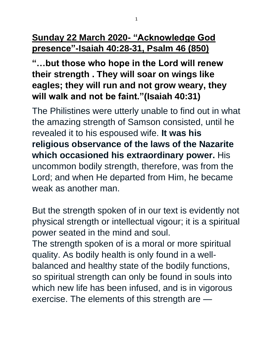## **Sunday 22 March 2020- "Acknowledge God presence"-Isaiah 40:28-31, Psalm 46 (850)**

**"…but those who hope in the Lord will renew their strength . They will soar on wings like eagles; they will run and not grow weary, they will walk and not be faint."(Isaiah 40:31)**

The Philistines were utterly unable to find out in what the amazing strength of Samson consisted, until he revealed it to his espoused wife. **It was his religious observance of the laws of the Nazarite which occasioned his extraordinary power.** His uncommon bodily strength, therefore, was from the Lord; and when He departed from Him, he became weak as another man.

But the strength spoken of in our text is evidently not physical strength or intellectual vigour; it is a spiritual power seated in the mind and soul. The strength spoken of is a moral or more spiritual quality. As bodily health is only found in a wellbalanced and healthy state of the bodily functions, so spiritual strength can only be found in souls into which new life has been infused, and is in vigorous exercise. The elements of this strength are —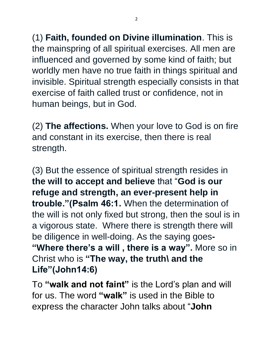(1) **Faith, founded on Divine illumination**. This is the mainspring of all spiritual exercises. All men are influenced and governed by some kind of faith; but worldly men have no true faith in things spiritual and invisible. Spiritual strength especially consists in that exercise of faith called trust or confidence, not in human beings, but in God.

(2) **The affections.** When your love to God is on fire and constant in its exercise, then there is real strength.

(3) But the essence of spiritual strength resides in **the will to accept and believe** that "**God is our refuge and strength, an ever-present help in trouble."(Psalm 46:1.** When the determination of the will is not only fixed but strong, then the soul is in a vigorous state. Where there is strength there will be diligence in well-doing. As the saying goes**- "Where there's a will , there is a way".** More so in Christ who is **"The way, the truth\ and the Life"(John14:6)**

To **"walk and not faint"** is the Lord's plan and will for us. The word **"walk"** is used in the Bible to express the character John talks about "**John**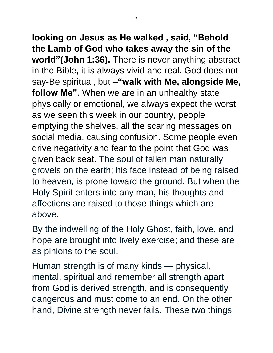**looking on Jesus as He walked , said, "Behold the Lamb of God who takes away the sin of the world"(John 1:36).** There is never anything abstract in the Bible, it is always vivid and real. God does not say-Be spiritual, but **–"walk with Me, alongside Me, follow Me".** When we are in an unhealthy state physically or emotional, we always expect the worst as we seen this week in our country, people emptying the shelves, all the scaring messages on social media, causing confusion. Some people even drive negativity and fear to the point that God was given back seat. The soul of fallen man naturally grovels on the earth; his face instead of being raised to heaven, is prone toward the ground. But when the Holy Spirit enters into any man, his thoughts and affections are raised to those things which are above.

By the indwelling of the Holy Ghost, faith, love, and hope are brought into lively exercise; and these are as pinions to the soul.

Human strength is of many kinds — physical, mental, spiritual and remember all strength apart from God is derived strength, and is consequently dangerous and must come to an end. On the other hand, Divine strength never fails. These two things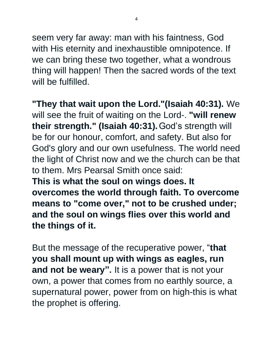seem very far away: man with his faintness, God with His eternity and inexhaustible omnipotence. If we can bring these two together, what a wondrous thing will happen! Then the sacred words of the text will be fulfilled.

**"They that wait upon the Lord."(Isaiah 40:31).** We will see the fruit of waiting on the Lord-. **"will renew their strength." (Isaiah 40:31).**God's strength will be for our honour, comfort, and safety. But also for God's glory and our own usefulness. The world need the light of Christ now and we the church can be that to them. Mrs Pearsal Smith once said: **This is what the soul on wings does. It overcomes the world through faith. To overcome means to "come over," not to be crushed under; and the soul on wings flies over this world and the things of it.**

But the message of the recuperative power, "**that you shall mount up with wings as eagles, run and not be weary".** It is a power that is not your own, a power that comes from no earthly source, a supernatural power, power from on high-this is what the prophet is offering.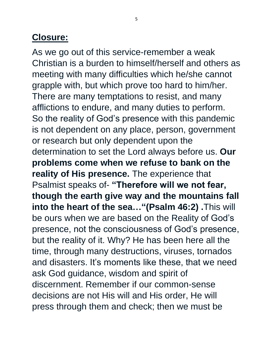## **Closure:**

As we go out of this service-remember a weak Christian is a burden to himself/herself and others as meeting with many difficulties which he/she cannot grapple with, but which prove too hard to him/her. There are many temptations to resist, and many afflictions to endure, and many duties to perform. So the reality of God's presence with this pandemic is not dependent on any place, person, government or research but only dependent upon the determination to set the Lord always before us. **Our problems come when we refuse to bank on the reality of His presence.** The experience that Psalmist speaks of- **"Therefore will we not fear, though the earth give way and the mountains fall into the heart of the sea…"(Psalm 46:2) .**This will be ours when we are based on the Reality of God's presence, not the consciousness of God's presence, but the reality of it. Why? He has been here all the time, through many destructions, viruses, tornados and disasters. It's moments like these, that we need ask God guidance, wisdom and spirit of discernment. Remember if our common-sense decisions are not His will and His order, He will press through them and check; then we must be